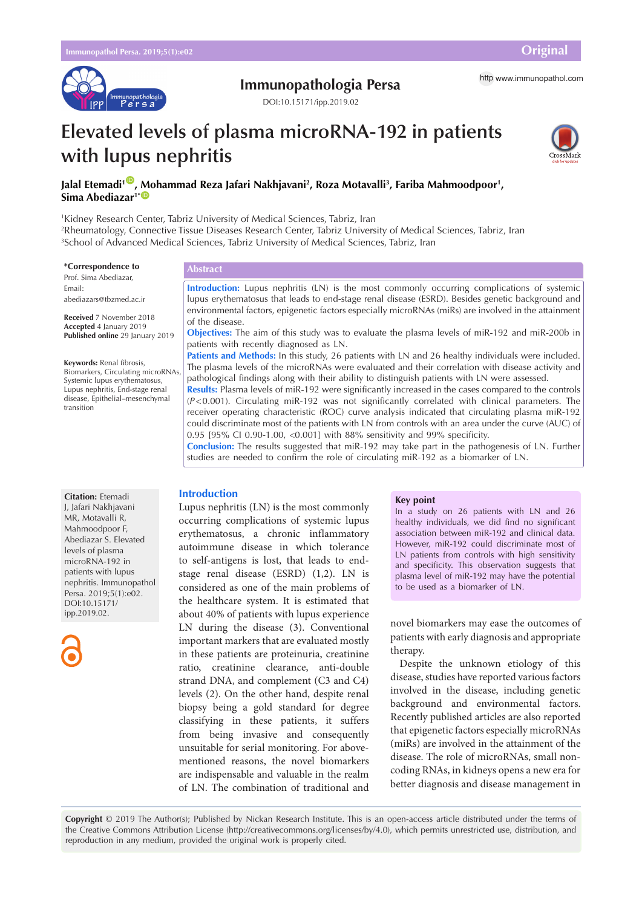

## **Immunopathologia Persa** http [www.immunopathol.com](http://www.immunopathol.com)

DOI[:10.15171/ipp.2019.02](https://doi.org/10.15171/ipp.2019.02)

# **Elevated levels of plasma microRNA-192 in patients with lupus nephritis**



## **Jalal Etemadi1** [ID](https://orcid.org/0000-0001-8963-7494) **, Mohammad Reza Jafari Nakhjavani2 , Roza Motavalli3 , Fariba Mahmoodpoor1 , Sima Abediazar<sup>1\*</sub>**</sup>

1 Kidney Research Center, Tabriz University of Medical Sciences, Tabriz, Iran

2 Rheumatology, Connective Tissue Diseases Research Center, Tabriz University of Medical Sciences, Tabriz, Iran 3 School of Advanced Medical Sciences, Tabriz University of Medical Sciences, Tabriz, Iran

#### **\*Correspondence to**

Prof. Sima Abediazar, Email: abediazars@tbzmed.ac.ir

**Received** 7 November 2018 **Accepted** 4 January 2019 **Published online** 29 January 2019

**Keywords:** Renal fibrosis, Biomarkers, Circulating microRNAs,

Systemic lupus erythematosus, Lupus nephritis, End-stage renal disease, Epithelial–mesenchymal transition

#### **Abstract**

**Introduction:** Lupus nephritis (LN) is the most commonly occurring complications of systemic lupus erythematosus that leads to end-stage renal disease (ESRD). Besides genetic background and environmental factors, epigenetic factors especially microRNAs (miRs) are involved in the attainment of the disease.

**Objectives:** The aim of this study was to evaluate the plasma levels of miR-192 and miR-200b in patients with recently diagnosed as LN.

**Patients and Methods:** In this study, 26 patients with LN and 26 healthy individuals were included. The plasma levels of the microRNAs were evaluated and their correlation with disease activity and pathological findings along with their ability to distinguish patients with LN were assessed.

**Results:** Plasma levels of miR-192 were significantly increased in the cases compared to the controls (*P*<0.001). Circulating miR-192 was not significantly correlated with clinical parameters. The receiver operating characteristic (ROC) curve analysis indicated that circulating plasma miR-192 could discriminate most of the patients with LN from controls with an area under the curve (AUC) of 0.95 [95% CI 0.90-1.00, <0.001] with 88% sensitivity and 99% specificity.

**Conclusion:** The results suggested that miR-192 may take part in the pathogenesis of LN. Further studies are needed to confirm the role of circulating miR-192 as a biomarker of LN.

#### **Introduction**

Lupus nephritis (LN) is the most commonly occurring complications of systemic lupus erythematosus, a chronic inflammatory autoimmune disease in which tolerance to self-antigens is lost, that leads to endstage renal disease (ESRD) (1,2). LN is considered as one of the main problems of the healthcare system. It is estimated that about 40% of patients with lupus experience LN during the disease (3). Conventional important markers that are evaluated mostly in these patients are proteinuria, creatinine ratio, creatinine clearance, anti-double strand DNA, and complement (C3 and C4) levels (2). On the other hand, despite renal biopsy being a gold standard for degree classifying in these patients, it suffers from being invasive and consequently unsuitable for serial monitoring. For abovementioned reasons, the novel biomarkers are indispensable and valuable in the realm of LN. The combination of traditional and

#### **Key point**

In a study on 26 patients with LN and 26 healthy individuals, we did find no significant association between miR-192 and clinical data. However, miR-192 could discriminate most of LN patients from controls with high sensitivity and specificity. This observation suggests that plasma level of miR-192 may have the potential to be used as a biomarker of LN.

novel biomarkers may ease the outcomes of patients with early diagnosis and appropriate therapy.

Despite the unknown etiology of this disease, studies have reported various factors involved in the disease, including genetic background and environmental factors. Recently published articles are also reported that epigenetic factors especially microRNAs (miRs) are involved in the attainment of the disease. The role of microRNAs, small noncoding RNAs, in kidneys opens a new era for better diagnosis and disease management in

**Copyright** © 2019 The Author(s); Published by Nickan Research Institute. This is an open-access article distributed under the terms of the Creative Commons Attribution License (http://creativecommons.org/licenses/by/4.0), which permits unrestricted use, distribution, and reproduction in any medium, provided the original work is properly cited.

**Citation:** Etemadi J, Jafari Nakhjavani MR, Motavalli R, Mahmoodpoor F, Abediazar S. Elevated levels of plasma microRNA-192 in patients with lupus nephritis. Immunopathol Persa. 2019;5(1):e02. DOI:10.15171/ ipp.2019.02.

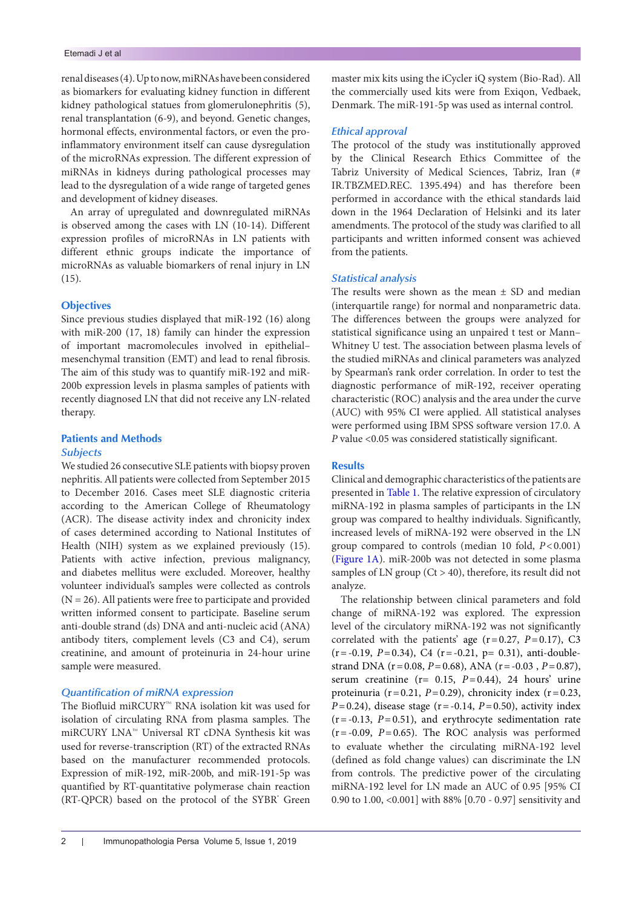renal diseases (4). Up to now, miRNAs have been considered as biomarkers for evaluating kidney function in different kidney pathological statues from glomerulonephritis (5), renal transplantation (6-9), and beyond. Genetic changes, hormonal effects, environmental factors, or even the proinflammatory environment itself can cause dysregulation of the microRNAs expression. The different expression of miRNAs in kidneys during pathological processes may lead to the dysregulation of a wide range of targeted genes and development of kidney diseases.

An array of upregulated and downregulated miRNAs is observed among the cases with LN (10-14). Different expression profiles of microRNAs in LN patients with different ethnic groups indicate the importance of microRNAs as valuable biomarkers of renal injury in LN  $(15)$ .

## **Objectives**

Since previous studies displayed that miR-192 (16) along with miR-200 (17, 18) family can hinder the expression of important macromolecules involved in epithelial– mesenchymal transition (EMT) and lead to renal fibrosis. The aim of this study was to quantify miR-192 and miR-200b expression levels in plasma samples of patients with recently diagnosed LN that did not receive any LN-related therapy.

## **Patients and Methods**

#### *Subjects*

We studied 26 consecutive SLE patients with biopsy proven nephritis. All patients were collected from September 2015 to December 2016. Cases meet SLE diagnostic criteria according to the American College of Rheumatology (ACR). The disease activity index and chronicity index of cases determined according to National Institutes of Health (NIH) system as we explained previously (15). Patients with active infection, previous malignancy, and diabetes mellitus were excluded. Moreover, healthy volunteer individual's samples were collected as controls  $(N = 26)$ . All patients were free to participate and provided written informed consent to participate. Baseline serum anti-double strand (ds) DNA and anti-nucleic acid (ANA) antibody titers, complement levels (C3 and C4), serum creatinine, and amount of proteinuria in 24-hour urine sample were measured.

## *Quantification of miRNA expression*

The Biofluid miRCURY™ RNA isolation kit was used for isolation of circulating RNA from plasma samples. The miRCURY LNA™ Universal RT cDNA Synthesis kit was used for reverse-transcription (RT) of the extracted RNAs based on the manufacturer recommended protocols. Expression of miR-192, miR-200b, and miR-191-5p was quantified by RT-quantitative polymerase chain reaction (RT-QPCR) based on the protocol of the SYBR' Green

#### *Ethical approval*

The protocol of the study was institutionally approved by the Clinical Research Ethics Committee of the Tabriz University of Medical Sciences, Tabriz, Iran (# IR.TBZMED.REC. 1395.494) and has therefore been performed in accordance with the ethical standards laid down in the 1964 Declaration of Helsinki and its later amendments. The protocol of the study was clarified to all participants and written informed consent was achieved from the patients.

## *Statistical analysis*

The results were shown as the mean  $\pm$  SD and median (interquartile range) for normal and nonparametric data. The differences between the groups were analyzed for statistical significance using an unpaired t test or Mann– Whitney U test. The association between plasma levels of the studied miRNAs and clinical parameters was analyzed by Spearman's rank order correlation. In order to test the diagnostic performance of miR-192, receiver operating characteristic (ROC) analysis and the area under the curve (AUC) with 95% CI were applied. All statistical analyses were performed using IBM SPSS software version 17.0. A *P* value <0.05 was considered statistically significant.

## **Results**

Clinical and demographic characteristics of the patients are presented in [Table 1](#page-2-0). The relative expression of circulatory miRNA-192 in plasma samples of participants in the LN group was compared to healthy individuals. Significantly, increased levels of miRNA-192 were observed in the LN group compared to controls (median 10 fold, *P*<0.001) [\(Figure 1A\)](#page-2-1). miR-200b was not detected in some plasma samples of LN group ( $Ct > 40$ ), therefore, its result did not analyze.

The relationship between clinical parameters and fold change of miRNA-192 was explored. The expression level of the circulatory miRNA-192 was not significantly correlated with the patients' age (r=0.27, *P*=0.17), C3 (r=-0.19, *P*=0.34), C4 (r=-0.21, p= 0.31), anti-doublestrand DNA (r=0.08, *P*=0.68), ANA (r=-0.03 , *P*=0.87), serum creatinine (r= 0.15, *P*=0.44), 24 hours' urine proteinuria ( $r=0.21$ ,  $P=0.29$ ), chronicity index ( $r=0.23$ , *P*=0.24), disease stage (r=-0.14, *P*=0.50), activity index  $(r=-0.13, P=0.51)$ , and erythrocyte sedimentation rate  $(r = -0.09, P = 0.65)$ . The ROC analysis was performed to evaluate whether the circulating miRNA-192 level (defined as fold change values) can discriminate the LN from controls. The predictive power of the circulating miRNA-192 level for LN made an AUC of 0.95 [95% CI 0.90 to 1.00, <0.001] with 88% [0.70 - 0.97] sensitivity and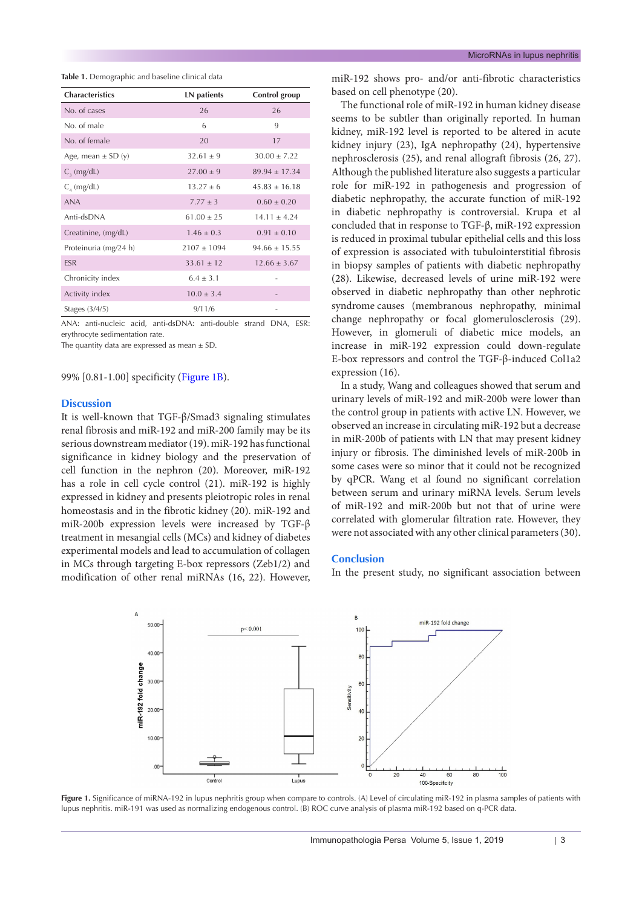<span id="page-2-0"></span>**Table 1.** Demographic and baseline clinical data

| <b>Characteristics</b> | LN patients     | Control group     |
|------------------------|-----------------|-------------------|
| No. of cases           | 26              | 26                |
| No. of male            | 6               | 9                 |
| No. of female          | 20              | 17                |
| Age, mean $\pm$ SD (y) | $32.61 \pm 9$   | $30.00 \pm 7.22$  |
| $C_{2}$ (mg/dL)        | $27.00 \pm 9$   | $89.94 \pm 17.34$ |
| $C_{\text{A}}$ (mg/dL) | $13.27 \pm 6$   | $45.83 \pm 16.18$ |
| <b>ANA</b>             | $7.77 \pm 3$    | $0.60 \pm 0.20$   |
| Anti-dsDNA             | $61.00 \pm 25$  | $14.11 \pm 4.24$  |
| Creatinine, (mg/dL)    | $1.46 \pm 0.3$  | $0.91 \pm 0.10$   |
| Proteinuria (mg/24 h)  | $2107 \pm 1094$ | $94.66 \pm 15.55$ |
| <b>ESR</b>             | $33.61 \pm 12$  | $12.66 + 3.67$    |
| Chronicity index       | $6.4 \pm 3.1$   |                   |
| Activity index         | $10.0 \pm 3.4$  |                   |
| Stages (3/4/5)         | 9/11/6          |                   |

ANA: anti-nucleic acid, anti-dsDNA: anti-double strand DNA, ESR: erythrocyte sedimentation rate.

The quantity data are expressed as mean  $\pm$  SD.

99% [0.81-1.00] specificity [\(Figure 1B](#page-2-1)).

#### **Discussion**

It is well-known that TGF-β/Smad3 signaling stimulates renal fibrosis and miR-192 and miR-200 family may be its serious downstream mediator (19). miR-192 has functional significance in kidney biology and the preservation of cell function in the nephron (20). Moreover, miR-192 has a role in cell cycle control (21). miR-192 is highly expressed in kidney and presents pleiotropic roles in renal homeostasis and in the fibrotic kidney (20). miR-192 and miR-200b expression levels were increased by TGF-β treatment in mesangial cells (MCs) and kidney of diabetes experimental models and lead to accumulation of collagen in MCs through targeting E-box repressors (Zeb1/2) and modification of other renal miRNAs (16, 22). However,

miR-192 shows pro- and/or anti-fibrotic characteristics based on cell phenotype (20).

The functional role of miR-192 in human kidney disease seems to be subtler than originally reported. In human kidney, miR-192 level is reported to be altered in acute kidney injury (23), IgA nephropathy (24), hypertensive nephrosclerosis (25), and renal allograft fibrosis (26, 27). Although the published literature also suggests a particular role for miR-192 in pathogenesis and progression of diabetic nephropathy, the accurate function of miR-192 in diabetic nephropathy is controversial. Krupa et al concluded that in response to TGF-β, miR-192 expression is reduced in proximal tubular epithelial cells and this loss of expression is associated with tubulointerstitial fibrosis in biopsy samples of patients with diabetic nephropathy (28). Likewise, decreased levels of urine miR-192 were observed in diabetic nephropathy than other nephrotic syndrome causes (membranous nephropathy, minimal change nephropathy or focal glomerulosclerosis (29). However, in glomeruli of diabetic mice models, an increase in miR-192 expression could down-regulate E-box repressors and control the TGF-β-induced Col1a2 expression (16).

In a study, Wang and colleagues showed that serum and urinary levels of miR-192 and miR-200b were lower than the control group in patients with active LN. However, we observed an increase in circulating miR-192 but a decrease in miR-200b of patients with LN that may present kidney injury or fibrosis. The diminished levels of miR-200b in some cases were so minor that it could not be recognized by qPCR. Wang et al found no significant correlation between serum and urinary miRNA levels. Serum levels of miR-192 and miR-200b but not that of urine were correlated with glomerular filtration rate. However, they were not associated with any other clinical parameters (30).

## **Conclusion**

<span id="page-2-1"></span>In the present study, no significant association between



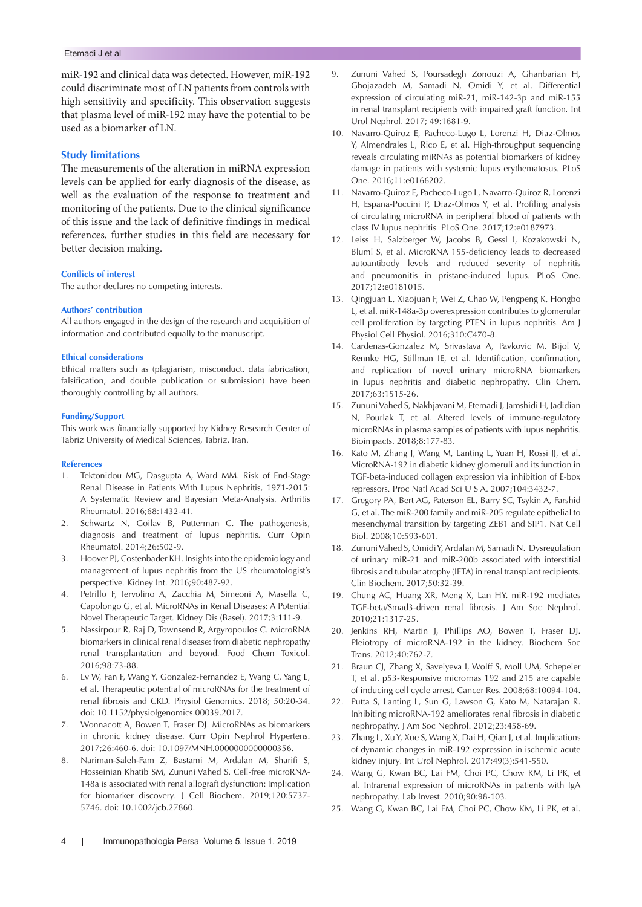## Etemadi J et al

miR-192 and clinical data was detected. However, miR-192 could discriminate most of LN patients from controls with high sensitivity and specificity. This observation suggests that plasma level of miR-192 may have the potential to be used as a biomarker of LN.

## **Study limitations**

The measurements of the alteration in miRNA expression levels can be applied for early diagnosis of the disease, as well as the evaluation of the response to treatment and monitoring of the patients. Due to the clinical significance of this issue and the lack of definitive findings in medical references, further studies in this field are necessary for better decision making.

#### **Conflicts of interest**

The author declares no competing interests.

#### **Authors' contribution**

All authors engaged in the design of the research and acquisition of information and contributed equally to the manuscript.

#### **Ethical considerations**

Ethical matters such as (plagiarism, misconduct, data fabrication, falsification, and double publication or submission) have been thoroughly controlling by all authors.

#### **Funding/Support**

This work was financially supported by Kidney Research Center of Tabriz University of Medical Sciences, Tabriz, Iran.

#### **References**

- 1. Tektonidou MG, Dasgupta A, Ward MM. Risk of End-Stage Renal Disease in Patients With Lupus Nephritis, 1971-2015: A Systematic Review and Bayesian Meta-Analysis*.* Arthritis Rheumatol. 2016;68:1432-41.
- 2. Schwartz N, Goilav B, Putterman C. The pathogenesis, diagnosis and treatment of lupus nephritis*.* Curr Opin Rheumatol. 2014;26:502-9.
- 3. Hoover PJ, Costenbader KH. Insights into the epidemiology and management of lupus nephritis from the US rheumatologist's perspective*.* Kidney Int. 2016;90:487-92.
- 4. Petrillo F, Iervolino A, Zacchia M, Simeoni A, Masella C, Capolongo G, et al. MicroRNAs in Renal Diseases: A Potential Novel Therapeutic Target*.* Kidney Dis (Basel). 2017;3:111-9.
- 5. Nassirpour R, Raj D, Townsend R, Argyropoulos C. MicroRNA biomarkers in clinical renal disease: from diabetic nephropathy renal transplantation and beyond*.* Food Chem Toxicol. 2016;98:73-88.
- 6. Lv W, Fan F, Wang Y, Gonzalez-Fernandez E, Wang C, Yang L, et al. Therapeutic potential of microRNAs for the treatment of renal fibrosis and CKD. Physiol Genomics. 2018; 50:20-34. doi: 10.1152/physiolgenomics.00039.2017.
- 7. Wonnacott A, Bowen T, Fraser DJ. MicroRNAs as biomarkers in chronic kidney disease. Curr Opin Nephrol Hypertens. 2017;26:460-6. doi: 10.1097/MNH.0000000000000356.
- 8. Nariman-Saleh-Fam Z, Bastami M, Ardalan M, Sharifi S, Hosseinian Khatib SM, Zununi Vahed S. Cell-free microRNA-148a is associated with renal allograft dysfunction: Implication for biomarker discovery*.* J Cell Biochem. 2019;120:5737- 5746. doi: 10.1002/jcb.27860.
- 9. Zununi Vahed S, Poursadegh Zonouzi A, Ghanbarian H, Ghojazadeh M, Samadi N, Omidi Y, et al. Differential expression of circulating miR-21, miR-142-3p and miR-155 in renal transplant recipients with impaired graft function*.* Int Urol Nephrol. 2017; 49:1681-9.
- 10. Navarro-Quiroz E, Pacheco-Lugo L, Lorenzi H, Diaz-Olmos Y, Almendrales L, Rico E, et al. High-throughput sequencing reveals circulating miRNAs as potential biomarkers of kidney damage in patients with systemic lupus erythematosus*.* PLoS One. 2016;11:e0166202.
- 11. Navarro-Quiroz E, Pacheco-Lugo L, Navarro-Quiroz R, Lorenzi H, Espana-Puccini P, Diaz-Olmos Y, et al. Profiling analysis of circulating microRNA in peripheral blood of patients with class IV lupus nephritis*.* PLoS One. 2017;12:e0187973.
- 12. Leiss H, Salzberger W, Jacobs B, Gessl I, Kozakowski N, Bluml S, et al. MicroRNA 155-deficiency leads to decreased autoantibody levels and reduced severity of nephritis and pneumonitis in pristane-induced lupus*.* PLoS One. 2017;12:e0181015.
- 13. Qingjuan L, Xiaojuan F, Wei Z, Chao W, Pengpeng K, Hongbo L, et al. miR-148a-3p overexpression contributes to glomerular cell proliferation by targeting PTEN in lupus nephritis*.* Am J Physiol Cell Physiol. 2016;310:C470-8.
- 14. Cardenas-Gonzalez M, Srivastava A, Pavkovic M, Bijol V, Rennke HG, Stillman IE, et al. Identification, confirmation, and replication of novel urinary microRNA biomarkers in lupus nephritis and diabetic nephropathy*.* Clin Chem. 2017;63:1515-26.
- 15. Zununi Vahed S, Nakhjavani M, Etemadi J, Jamshidi H, Jadidian N, Pourlak T, et al. Altered levels of immune-regulatory microRNAs in plasma samples of patients with lupus nephritis*.* Bioimpacts. 2018;8:177-83.
- 16. Kato M, Zhang J, Wang M, Lanting L, Yuan H, Rossi JJ, et al. MicroRNA-192 in diabetic kidney glomeruli and its function in TGF-beta-induced collagen expression via inhibition of E-box repressors*.* Proc Natl Acad Sci U S A. 2007;104:3432-7.
- 17. Gregory PA, Bert AG, Paterson EL, Barry SC, Tsykin A, Farshid G, et al. The miR-200 family and miR-205 regulate epithelial to mesenchymal transition by targeting ZEB1 and SIP1*.* Nat Cell Biol. 2008;10:593-601.
- 18. Zununi Vahed S, Omidi Y, Ardalan M, Samadi N. Dysregulation of urinary miR-21 and miR-200b associated with interstitial fibrosis and tubular atrophy (IFTA) in renal transplant recipients*.* Clin Biochem. 2017;50:32-39.
- 19. Chung AC, Huang XR, Meng X, Lan HY. miR-192 mediates TGF-beta/Smad3-driven renal fibrosis*.* J Am Soc Nephrol. 2010;21:1317-25.
- 20. Jenkins RH, Martin J, Phillips AO, Bowen T, Fraser DJ. Pleiotropy of microRNA-192 in the kidney*.* Biochem Soc Trans. 2012;40:762-7.
- 21. Braun CJ, Zhang X, Savelyeva I, Wolff S, Moll UM, Schepeler T, et al. p53-Responsive micrornas 192 and 215 are capable of inducing cell cycle arrest*.* Cancer Res. 2008;68:10094-104.
- 22. Putta S, Lanting L, Sun G, Lawson G, Kato M, Natarajan R. Inhibiting microRNA-192 ameliorates renal fibrosis in diabetic nephropathy*.* J Am Soc Nephrol. 2012;23:458-69.
- 23. Zhang L, Xu Y, Xue S, Wang X, Dai H, Qian J, et al. Implications of dynamic changes in miR-192 expression in ischemic acute kidney injury*.* Int Urol Nephrol. 2017;49(3):541-550.
- 24. Wang G, Kwan BC, Lai FM, Choi PC, Chow KM, Li PK, et al. Intrarenal expression of microRNAs in patients with IgA nephropathy*.* Lab Invest. 2010;90:98-103.
- 25. Wang G, Kwan BC, Lai FM, Choi PC, Chow KM, Li PK, et al.